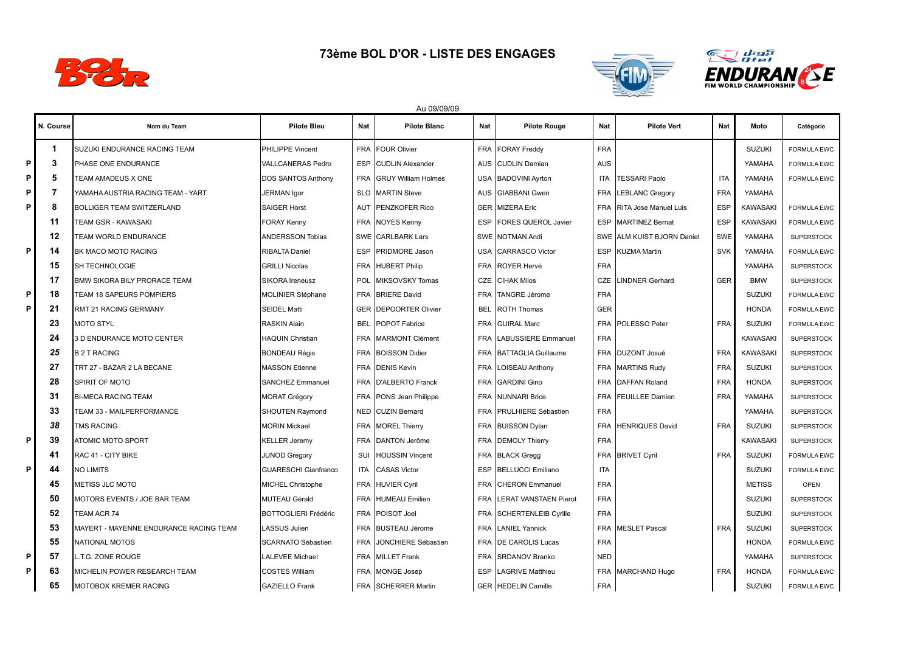

## **73ème BOL D'OR - LISTE DES ENGAGES**





Au 09/09/09

|    | N. Course | Nom du Team                            | <b>Pilote Bleu</b>          | <b>Nat</b> | <b>Pilote Blanc</b>        | Nat        | <b>Pilote Rouge</b>            | Nat        | <b>Pilote Vert</b>           | <b>Nat</b> | Moto            | Catégorie          |
|----|-----------|----------------------------------------|-----------------------------|------------|----------------------------|------------|--------------------------------|------------|------------------------------|------------|-----------------|--------------------|
|    | -1        | SUZUKI ENDURANCE RACING TEAM           | <b>PHILIPPE Vincent</b>     | <b>FRA</b> | <b>FOUR Olivier</b>        |            | FRA FORAY Freddy               | <b>FRA</b> |                              |            | <b>SUZUKI</b>   | <b>FORMULA EWC</b> |
| P  | 3         | PHASE ONE ENDURANCE                    | VALLCANERAS Pedro           | <b>ESP</b> | <b>CUDLIN Alexander</b>    |            | AUS CUDLIN Damian              | <b>AUS</b> |                              |            | YAMAHA          | <b>FORMULA EWC</b> |
| P  | 5         | TEAM AMADEUS X ONE                     | DOS SANTOS Anthony          | <b>FRA</b> | <b>GRUY William Holmes</b> |            | USA BADOVINI Ayrton            | <b>ITA</b> | <b>TESSARI Paolo</b>         | <b>ITA</b> | YAMAHA          | <b>FORMULA EWC</b> |
| P  | 7         | YAMAHA AUSTRIA RACING TEAM - YART      | <b>JERMAN Igor</b>          | <b>SLO</b> | <b>MARTIN Steve</b>        |            | AUS GIABBANI Gwen              | <b>FRA</b> | <b>LEBLANC Gregory</b>       | <b>FRA</b> | YAMAHA          |                    |
| P  | 8         | <b>BOLLIGER TEAM SWITZERLAND</b>       | <b>SAIGER Horst</b>         | <b>AUT</b> | PENZKOFER Rico             |            | <b>GER MIZERA Eric</b>         | <b>FRA</b> | <b>RITA Jose Manuel Luis</b> | <b>ESP</b> | <b>KAWASAKI</b> | <b>FORMULA EWC</b> |
|    | 11        | TEAM GSR - KAWASAKI                    | <b>FORAY Kenny</b>          |            | FRA NOYES Kenny            |            | <b>ESP FORES QUEROL Javier</b> | <b>ESP</b> | <b>MARTINEZ Bernat</b>       | <b>ESP</b> | <b>KAWASAKI</b> | <b>FORMULA EWC</b> |
|    | 12        | TEAM WORLD ENDURANCE                   | <b>ANDERSSON Tobias</b>     |            | SWE CARLBARK Lars          |            | SWE NOTMAN Andi                |            | SWE ALM KUIST BJORN Daniel   | SWE        | YAMAHA          | <b>SUPERSTOCK</b>  |
| P. | 14        | BK MACO MOTO RACING                    | RIBALTA Daniel              | <b>ESP</b> | PRIDMORE Jason             |            | USA CARRASCO Victor            | <b>ESP</b> | <b>KUZMA Martin</b>          | <b>SVK</b> | YAMAHA          | <b>FORMULA EWC</b> |
|    | 15        | SH TECHNOLOGIE                         | <b>GRILLI Nicolas</b>       | <b>FRA</b> | <b>HUBERT Philip</b>       |            | FRA ROYER Hervé                | <b>FRA</b> |                              |            | YAMAHA          | <b>SUPERSTOCK</b>  |
|    | 17        | <b>BMW SIKORA BILY PRORACE TEAM</b>    | SIKORA Ireneusz             | <b>POL</b> | <b>MIKSOVSKY Tomas</b>     |            | <b>CZE CIHAK Milos</b>         | CZE        | <b>LINDNER Gerhard</b>       | <b>GER</b> | <b>BMW</b>      | <b>SUPERSTOCK</b>  |
| P  | 18        | TEAM 18 SAPEURS POMPIERS               | MOLINIER Stéphane           | <b>FRA</b> | <b>BRIERE David</b>        |            | FRA TANGRE Jérome              | <b>FRA</b> |                              |            | <b>SUZUKI</b>   | <b>FORMULA EWC</b> |
| P  | 21        | RMT 21 RACING GERMANY                  | <b>SEIDEL Matti</b>         | GER        | <b>DEPOORTER Olivier</b>   | <b>BEL</b> | <b>ROTH Thomas</b>             | <b>GER</b> |                              |            | <b>HONDA</b>    | <b>FORMULA EWC</b> |
|    | 23        | <b>MOTO STYL</b>                       | <b>RASKIN Alain</b>         | BEL        | POPOT Fabrice              |            | FRA GUIRAL Marc                | <b>FRA</b> | POLESSO Peter                | <b>FRA</b> | <b>SUZUKI</b>   | <b>FORMULA EWC</b> |
|    | 24        | 3 D ENDURANCE MOTO CENTER              | <b>HAQUIN Christian</b>     | <b>FRA</b> | <b>MARMONT Clément</b>     |            | FRA LABUSSIERE Emmanuel        | <b>FRA</b> |                              |            | <b>KAWASAKI</b> | <b>SUPERSTOCK</b>  |
|    | 25        | <b>B2T RACING</b>                      | <b>BONDEAU Régis</b>        | <b>FRA</b> | <b>BOISSON Didier</b>      |            | FRA BATTAGLIA Guillaume        |            | FRA DUZONT Josué             | <b>FRA</b> | <b>KAWASAKI</b> | <b>SUPERSTOCK</b>  |
|    | 27        | TRT 27 - BAZAR 2 LA BECANE             | <b>MASSON Etienne</b>       | <b>FRA</b> | <b>DENIS Kevin</b>         |            | FRA LOISEAU Anthony            |            | FRA MARTINS Rudy             | <b>FRA</b> | <b>SUZUKI</b>   | <b>SUPERSTOCK</b>  |
|    | 28        | SPIRIT OF MOTO                         | SANCHEZ Emmanuel            | <b>FRA</b> | <b>D'ALBERTO Franck</b>    |            | FRA GARDINI Gino               |            | FRA DAFFAN Roland            | <b>FRA</b> | <b>HONDA</b>    | <b>SUPERSTOCK</b>  |
|    | 31        | <b>BI-MECA RACING TEAM</b>             | <b>MORAT Grégory</b>        | <b>FRA</b> | PONS Jean Philippe         |            | <b>FRA NUNNARI Brice</b>       | <b>FRA</b> | <b>FEUILLEE Damien</b>       | <b>FRA</b> | YAMAHA          | <b>SUPERSTOCK</b>  |
|    | 33        | TEAM 33 - MAILPERFORMANCE              | SHOUTEN Raymond             | NED        | <b>CUZIN Bernard</b>       |            | FRA IPRULHIERE Sébastien       | <b>FRA</b> |                              |            | YAMAHA          | <b>SUPERSTOCK</b>  |
|    | 38        | <b>TMS RACING</b>                      | <b>MORIN Mickael</b>        | <b>FRA</b> | <b>MOREL Thierry</b>       |            | FRA BUISSON Dylan              | <b>FRA</b> | <b>HENRIQUES David</b>       | <b>FRA</b> | <b>SUZUKI</b>   | <b>SUPERSTOCK</b>  |
| P  | 39        | <b>ATOMIC MOTO SPORT</b>               | <b>KELLER Jeremy</b>        | <b>FRA</b> | DANTON Jerôme              |            | FRA DEMOLY Thierry             | <b>FRA</b> |                              |            | <b>KAWASAKI</b> | <b>SUPERSTOCK</b>  |
|    | 41        | RAC 41 - CITY BIKE                     | <b>JUNOD Gregory</b>        | SUI        | <b>HOUSSIN Vincent</b>     |            | FRA BLACK Gregg                |            | FRA BRIVET Cyril             | <b>FRA</b> | <b>SUZUKI</b>   | <b>FORMULA EWC</b> |
| P  | 44        | <b>NO LIMITS</b>                       | <b>GUARESCHI Gianfranco</b> | <b>ITA</b> | <b>CASAS Victor</b>        |            | ESP BELLUCCI Emiliano          | <b>ITA</b> |                              |            | <b>SUZUKI</b>   | <b>FORMULA EWC</b> |
|    | 45        | <b>METISS JLC MOTO</b>                 | <b>MICHEL Christophe</b>    |            | FRA HUVIER Cyril           |            | FRA CHERON Emmanuel            | <b>FRA</b> |                              |            | <b>METISS</b>   | <b>OPEN</b>        |
|    | 50        | MOTORS EVENTS / JOE BAR TEAM           | MUTEAU Gérald               | <b>FRA</b> | HUMEAU Emilien             |            | FRA LERAT VANSTAEN Pierot      | <b>FRA</b> |                              |            | <b>SUZUKI</b>   | <b>SUPERSTOCK</b>  |
|    | 52        | TEAM ACR 74                            | <b>BOTTOGLIERI Frédéric</b> | <b>FRA</b> | POISOT Joel                |            | FRA SCHERTENLEIB Cyrille       | <b>FRA</b> |                              |            | <b>SUZUKI</b>   | <b>SUPERSTOCK</b>  |
|    | 53        | MAYERT - MAYENNE ENDURANCE RACING TEAM | <b>LASSUS Julien</b>        | <b>FRA</b> | <b>BUSTEAU Jérome</b>      |            | FRA LANIEL Yannick             |            | FRA MESLET Pascal            | <b>FRA</b> | <b>SUZUKI</b>   | <b>SUPERSTOCK</b>  |
|    | 55        | <b>NATIONAL MOTOS</b>                  | SCARNATO Sébastien          | <b>FRA</b> | JONCHIERE Sébastien        |            | FRA DE CAROLIS Lucas           | <b>FRA</b> |                              |            | <b>HONDA</b>    | <b>FORMULA EWC</b> |
| P. | 57        | L.T.G. ZONE ROUGE                      | LALEVEE Michael             |            | FRA MILLET Frank           |            | FRA SRDANOV Branko             | <b>NED</b> |                              |            | YAMAHA          | <b>SUPERSTOCK</b>  |
| P. | 63        | MICHELIN POWER RESEARCH TEAM           | <b>COSTES William</b>       |            | FRA MONGE Josep            |            | <b>ESP LAGRIVE Matthieu</b>    |            | FRA MARCHAND Hugo            | <b>FRA</b> | <b>HONDA</b>    | <b>FORMULA EWC</b> |
|    | 65        | MOTOBOX KREMER RACING                  | <b>GAZIELLO Frank</b>       |            | FRA SCHERRER Martin        |            | GER HEDELIN Camille            | <b>FRA</b> |                              |            | <b>SUZUKI</b>   | <b>FORMULA EWC</b> |